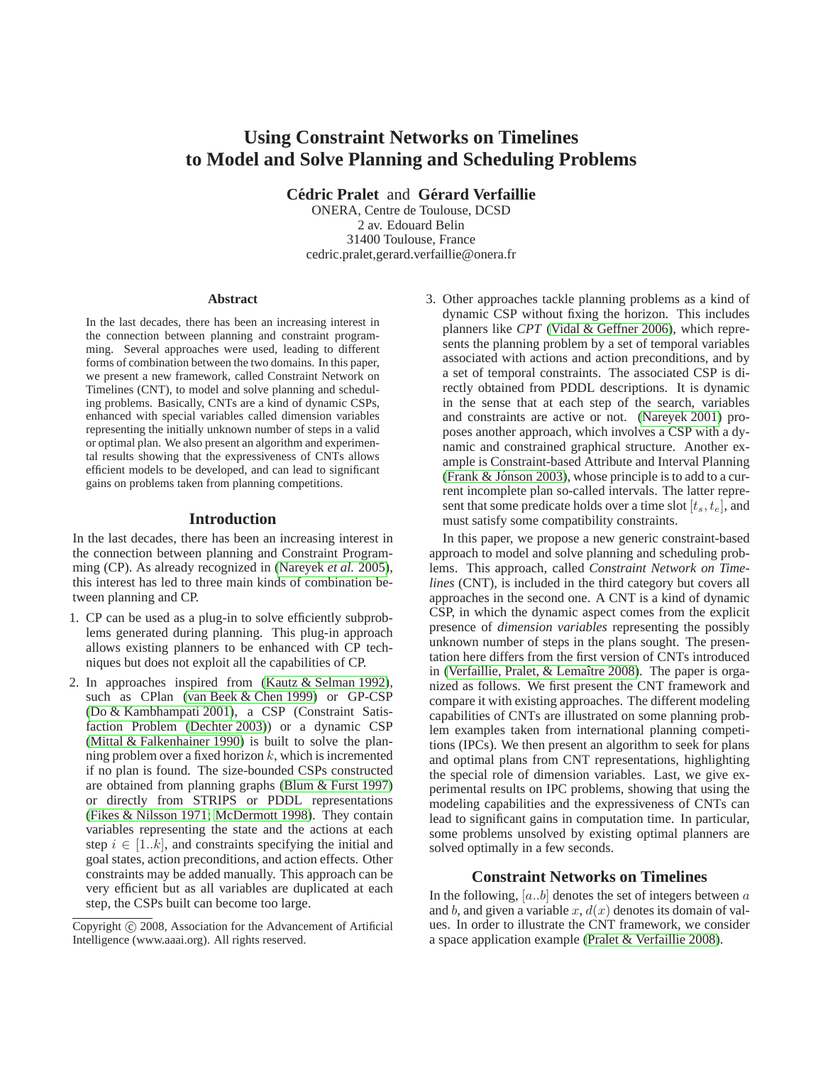# **Using Constraint Networks on Timelines to Model and Solve Planning and Scheduling Problems**

**Cédric Pralet** and **Gérard Verfaillie** 

ONERA, Centre de Toulouse, DCSD 2 av. Edouard Belin 31400 Toulouse, France cedric.pralet,gerard.verfaillie@onera.fr

#### **Abstract**

In the last decades, there has been an increasing interest in the connection between planning and constraint programming. Several approaches were used, leading to different forms of combination between the two domains. In this paper, we present a new framework, called Constraint Network on Timelines (CNT), to model and solve planning and scheduling problems. Basically, CNTs are a kind of dynamic CSPs, enhanced with special variables called dimension variables representing the initially unknown number of steps in a valid or optimal plan. We also present an algorithm and experimental results showing that the expressiveness of CNTs allows efficient models to be developed, and can lead to significant gains on problems taken from planning competitions.

### **Introduction**

In the last decades, there has been an increasing interest in the connection between planning and Constraint Programming (CP). As already recognized in [\(Nareyek](#page-7-0) *et al.* 2005), this interest has led to three main kinds of combination between planning and CP.

- 1. CP can be used as a plug-in to solve efficiently subproblems generated during planning. This plug-in approach allows existing planners to be enhanced with CP techniques but does not exploit all the capabilities of CP.
- 2. In approaches inspired from [\(Kautz & Selman 1992\)](#page-7-1), such as CPlan [\(van Beek & Chen 1999\)](#page-7-2) or GP-CSP [\(Do & Kambhampati 2001\)](#page-7-3), a CSP (Constraint Satisfaction Problem [\(Dechter 2003\)](#page-7-4)) or a dynamic CSP [\(Mittal & Falkenhainer 1990\)](#page-7-5) is built to solve the planning problem over a fixed horizon  $k$ , which is incremented if no plan is found. The size-bounded CSPs constructed are obtained from planning graphs [\(Blum & Furst 1997\)](#page-7-6) or directly from STRIPS or PDDL representations [\(Fikes & Nilsson 1971;](#page-7-7) [McDermott 1998\)](#page-7-8). They contain variables representing the state and the actions at each step  $i \in [1..k]$ , and constraints specifying the initial and goal states, action preconditions, and action effects. Other constraints may be added manually. This approach can be very efficient but as all variables are duplicated at each step, the CSPs built can become too large.

3. Other approaches tackle planning problems as a kind of dynamic CSP without fixing the horizon. This includes planners like *CPT* [\(Vidal & Geffner 2006\)](#page-7-9), which represents the planning problem by a set of temporal variables associated with actions and action preconditions, and by a set of temporal constraints. The associated CSP is directly obtained from PDDL descriptions. It is dynamic in the sense that at each step of the search, variables and constraints are active or not. [\(Nareyek 2001\)](#page-7-10) proposes another approach, which involves a CSP with a dynamic and constrained graphical structure. Another example is Constraint-based Attribute and Interval Planning (Frank  $& Jónson 2003$ ), whose principle is to add to a current incomplete plan so-called intervals. The latter represent that some predicate holds over a time slot  $[t_s, t_e]$ , and must satisfy some compatibility constraints.

In this paper, we propose a new generic constraint-based approach to model and solve planning and scheduling problems. This approach, called *Constraint Network on Timelines* (CNT), is included in the third category but covers all approaches in the second one. A CNT is a kind of dynamic CSP, in which the dynamic aspect comes from the explicit presence of *dimension variables* representing the possibly unknown number of steps in the plans sought. The presentation here differs from the first version of CNTs introduced in (Verfaillie, Pralet,  $&$  Lemaître 2008). The paper is organized as follows. We first present the CNT framework and compare it with existing approaches. The different modeling capabilities of CNTs are illustrated on some planning problem examples taken from international planning competitions (IPCs). We then present an algorithm to seek for plans and optimal plans from CNT representations, highlighting the special role of dimension variables. Last, we give experimental results on IPC problems, showing that using the modeling capabilities and the expressiveness of CNTs can lead to significant gains in computation time. In particular, some problems unsolved by existing optimal planners are solved optimally in a few seconds.

### **Constraint Networks on Timelines**

In the following,  $[a..b]$  denotes the set of integers between  $a$ and b, and given a variable  $x$ ,  $d(x)$  denotes its domain of values. In order to illustrate the CNT framework, we consider a space application example [\(Pralet & Verfaillie 2008\)](#page-7-13).

Copyright (c) 2008, Association for the Advancement of Artificial Intelligence (www.aaai.org). All rights reserved.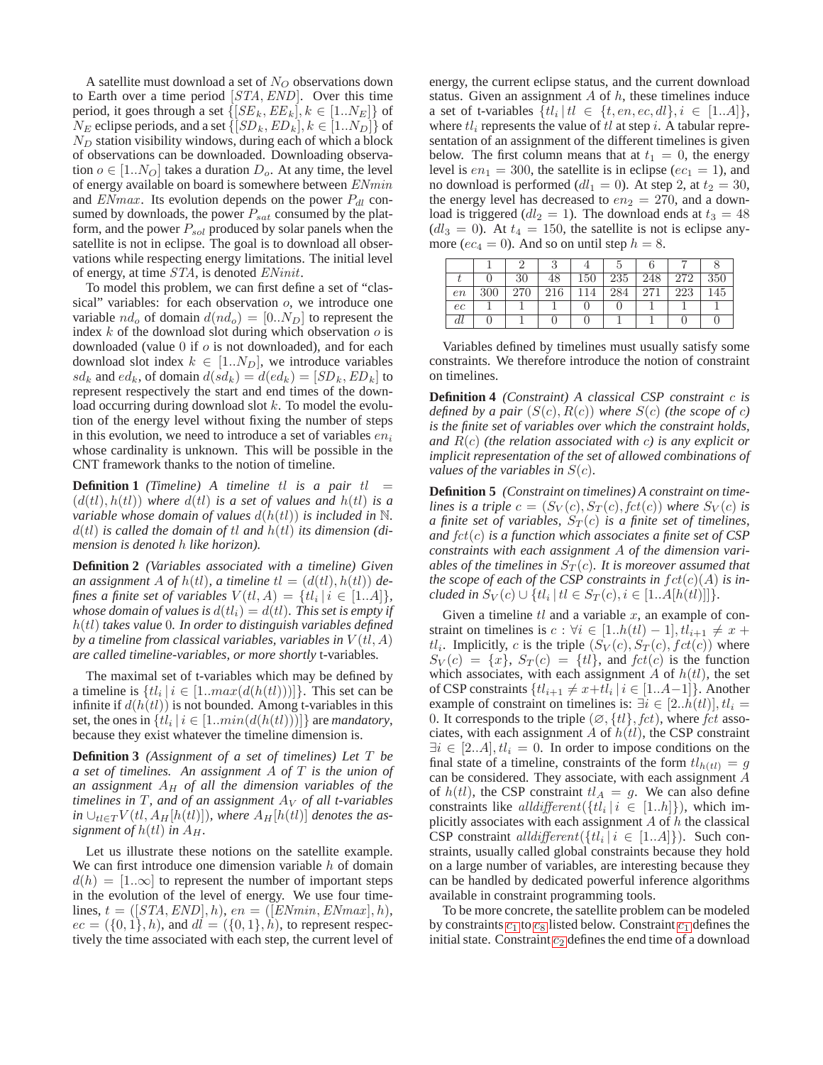A satellite must download a set of  $N_Q$  observations down to Earth over a time period [STA,END]. Over this time period, it goes through a set  $\{[SE_k, EE_k], k \in [1..N_E]\}$  of  $N_E$  eclipse periods, and a set  $\{[SD_k, ED_k], k \in [1..N_D]\}$  of  $N_D$  station visibility windows, during each of which a block of observations can be downloaded. Downloading observation  $o \in [1..N_O]$  takes a duration  $D_o$ . At any time, the level of energy available on board is somewhere between ENmin and  $EMmax$ . Its evolution depends on the power  $P_{dl}$  consumed by downloads, the power  $P_{sat}$  consumed by the platform, and the power  $P_{sol}$  produced by solar panels when the satellite is not in eclipse. The goal is to download all observations while respecting energy limitations. The initial level of energy, at time STA, is denoted ENinit.

To model this problem, we can first define a set of "classical" variables: for each observation  $o$ , we introduce one variable  $nd_o$  of domain  $d(nd_o) = [0..N_D]$  to represent the index  $k$  of the download slot during which observation  $o$  is downloaded (value  $0$  if  $o$  is not downloaded), and for each download slot index  $k \in [1..N_D]$ , we introduce variables  $sd_k$  and  $ed_k$ , of domain  $d(s d_k) = d(ed_k) = [SD_k, ED_k]$  to represent respectively the start and end times of the download occurring during download slot  $k$ . To model the evolution of the energy level without fixing the number of steps in this evolution, we need to introduce a set of variables  $en_i$ whose cardinality is unknown. This will be possible in the CNT framework thanks to the notion of timeline.

**Definition 1** *(Timeline)* A *timeline*  $tl$  *is a pair*  $tl =$  $(d(t), h(t))$  *where*  $d(t)$  *is a set of values and*  $h(t)$  *is a variable whose domain of values*  $d(h(t))$  *is included in*  $\mathbb{N}$ *.*  $d(t)$  *is called the domain of tl and*  $h(t)$  *its dimension (dimension is denoted* h *like horizon).*

**Definition 2** *(Variables associated with a timeline) Given an assignment* A *of*  $h$ (*tl*)*, a timeline*  $tl = (d(tl), h(tl))$  *defines a finite set of variables*  $V(tl, A) = \{tl_i | i \in [1..A]\},\$ *whose domain of values is*  $d(t_i) = d(t)$ *. This set is empty if* h(tl) *takes value* 0*. In order to distinguish variables defined* by a timeline from classical variables, variables in  $V(t, A)$ *are called timeline-variables, or more shortly* t-variables*.*

The maximal set of t-variables which may be defined by a timeline is  $\{tl_i \mid i \in [1 \dots max(d(h(t)))]\}$ . This set can be infinite if  $d(h(t))$  is not bounded. Among t-variables in this set, the ones in  $\{tl_i \mid i \in [1 \dots min(d(h(t)))]\}$  are *mandatory*, because they exist whatever the timeline dimension is.

**Definition 3** *(Assignment of a set of timelines) Let* T *be a set of timelines. An assignment* A *of* T *is the union of* an assignment  $A_H$  of all the dimension variables of the *timelines in*  $T$ *, and of an assignment*  $A_V$  *of all t-variables*  $\int$ *in*  $\cup_{t \in T} V(t, A_H[h(t)])$ *, where*  $A_H[h(t])$  *denotes the assignment of*  $h(t)$  *in*  $A_H$ .

Let us illustrate these notions on the satellite example. We can first introduce one dimension variable  $h$  of domain  $d(h) = [1..\infty]$  to represent the number of important steps in the evolution of the level of energy. We use four timelines,  $t = ([STA, END], h)$ ,  $en = ([ENmin, ENmax], h)$ ,  $ec = (\{0, 1\}, h)$ , and  $dl = (\{0, 1\}, h)$ , to represent respectively the time associated with each step, the current level of energy, the current eclipse status, and the current download status. Given an assignment  $A$  of  $h$ , these timelines induce a set of t-variables  $\{tl_i \mid tl \in \{t, en, ec, dl\}, i \in [1..A]\},\$ where  $tl_i$  represents the value of  $tl$  at step  $i$ . A tabular representation of an assignment of the different timelines is given below. The first column means that at  $t_1 = 0$ , the energy level is  $en_1 = 300$ , the satellite is in eclipse ( $ec_1 = 1$ ), and no download is performed  $dl_1 = 0$ ). At step 2, at  $t_2 = 30$ , the energy level has decreased to  $en_2 = 270$ , and a download is triggered ( $dl_2 = 1$ ). The download ends at  $t_3 = 48$  $(dl<sub>3</sub> = 0)$ . At  $t<sub>4</sub> = 150$ , the satellite is not is eclipse anymore ( $ec_4 = 0$ ). And so on until step  $h = 8$ .

|    |     |     |     |     | Ð   |     |     |     |
|----|-----|-----|-----|-----|-----|-----|-----|-----|
|    |     | 30  | 48  | 150 | 235 | 248 | 272 | 350 |
| en | 300 | 270 | 216 | 14  | 284 | 271 | 223 | 145 |
| ec |     |     |     |     |     |     |     |     |
| aı |     |     |     |     |     |     |     |     |

Variables defined by timelines must usually satisfy some constraints. We therefore introduce the notion of constraint on timelines.

**Definition 4** *(Constraint) A classical CSP constraint* c *is defined by a pair*  $(S(c), R(c))$  *where*  $S(c)$  *(the scope of c) is the finite set of variables over which the constraint holds, and* R(c) *(the relation associated with* c*) is any explicit or implicit representation of the set of allowed combinations of values of the variables in*  $S(c)$ *.* 

**Definition 5** *(Constraint on timelines) A constraint on timelines is a triple*  $c = (S_V(c), S_T(c), \text{fct}(c))$  where  $S_V(c)$  *is a finite set of variables,*  $S_T(c)$  *is a finite set of timelines, and* fct(c) *is a function which associates a finite set of CSP constraints with each assignment* A *of the dimension variables of the timelines in*  $S_T(c)$ *. It is moreover assumed that the scope of each of the CSP constraints in*  $fct(c)(A)$  *is included in*  $S_V(c) \cup \{tl_i \mid tl \in S_T(c), i \in [1..A[h(t)])] \}.$ 

Given a timeline  $tl$  and a variable  $x$ , an example of constraint on timelines is  $c : \forall i \in [1..h(tl) - 1], tl_{i+1} \neq x + 1$  $tl_i$ . Implicitly, c is the triple  $(S_V(c), S_T(c), fct(c))$  where  $S_V(c) = \{x\}$ ,  $S_T(c) = \{t\}$ , and  $fct(c)$  is the function which associates, with each assignment A of  $h(t)$ , the set of CSP constraints  $\{tl_{i+1} \neq x+tl_i \mid i \in [1..A-1]\}$ . Another example of constraint on timelines is:  $\exists i \in [2..h(t)], tl_i =$ 0. It corresponds to the triple  $(\emptyset, \{tl\}, \text{fct})$ , where  $\text{fct}$  associates, with each assignment A of  $h(t)$ , the CSP constraint  $\exists i \in [2..A], t l_i = 0$ . In order to impose conditions on the final state of a timeline, constraints of the form  $tl_{h(t)} = g$ can be considered. They associate, with each assignment A of  $h(t)$ , the CSP constraint  $t l_A = g$ . We can also define constraints like  $all different({t_l | i \in [1..h])})$ , which implicitly associates with each assignment  $A$  of  $h$  the classical CSP constraint *all different*  $({t_l | i \in [1..A]})$ . Such constraints, usually called global constraints because they hold on a large number of variables, are interesting because they can be handled by dedicated powerful inference algorithms available in constraint programming tools.

To be more concrete, the satellite problem can be modeled by [c](#page-2-0)onstraints  $c_1$  to  $c_8$  listed below. Constraint  $c_1$  defines the initial state. Constraint  $c_2$  $c_2$  defines the end time of a download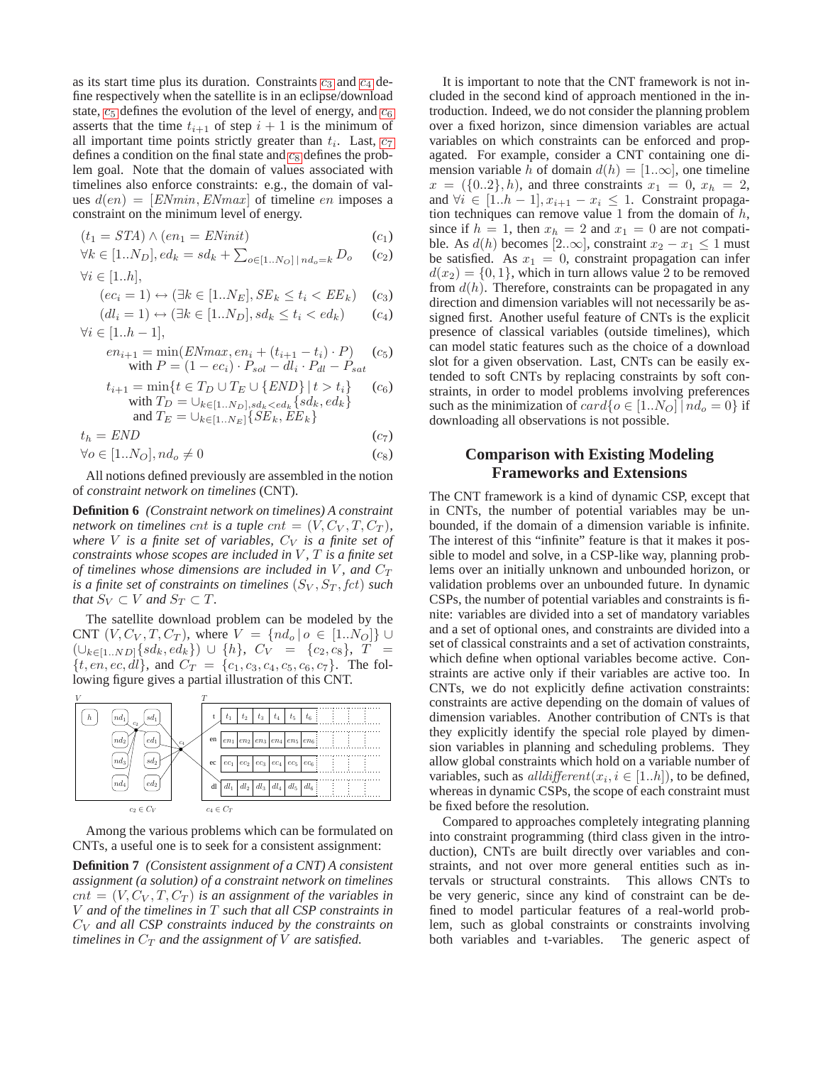as its start time plus its duration. Constraints  $c_3$  $c_3$  and  $c_4$  define respectively when the satellite is in an eclipse/download state,  $c_5$  $c_5$  defines the evolution of the level of energy, and  $c_6$ asserts that the time  $t_{i+1}$  of step  $i + 1$  is the minimum of all important time points stri[c](#page-2-0)tly greater than  $t_i$ . Last,  $c_7$ defines a [c](#page-2-0)ondition on the final state and  $c_8$  defines the problem goal. Note that the domain of values associated with timelines also enforce constraints: e.g., the domain of values  $d(en) = [E N min, E N max]$  of timeline en imposes a constraint on the minimum level of energy.

<span id="page-2-0"></span>
$$
(t_1 = STA) \land (en_1 = ENinit) \tag{c_1}
$$

$$
\forall k \in [1..N_D], ed_k = sd_k + \sum_{o \in [1..N_O] \mid nd_o = k} D_o \quad (c_2)
$$

 $\forall i \in [1..h].$ 

$$
(ec_i = 1) \leftrightarrow (\exists k \in [1..N_E], SE_k \le t_i < EE_k) \quad (c_3)
$$

$$
(dl_i = 1) \leftrightarrow (\exists k \in [1..N_D], sd_k \le t_i < ed_k) \qquad (c_4)
$$

 $\forall i \in [1..h-1],$ 

$$
en_{i+1} = \min(ENmax, en_i + (t_{i+1} - t_i) \cdot P)
$$
 (c<sub>5</sub>)  
with  $P = (1 - ec_i) \cdot P_{sol} - dl_i \cdot P_{dl} - P_{sat}$ 

$$
t_{i+1} = \min\{t \in T_D \cup T_E \cup \{END\} \mid t > t_i\} \quad (c_6)
$$
  
with  $T_D = \bigcup_{k \in [1..N_D], sd_k < ed_k} \{sd_k, ed_k\}$   
and  $T_E = \bigcup_{k \in [1..N_E]} \{SE_k, EE_k\}$ 

 $t_h = END$  (c<sub>7</sub>)

$$
\forall o \in [1..N_O], nd_o \neq 0 \tag{c_8}
$$

All notions defined previously are assembled in the notion of *constraint network on timelines* (CNT).

**Definition 6** *(Constraint network on timelines) A constraint network on timelines cnt is a tuple cnt* =  $(V, C_V, T, C_T)$ *, where* V *is a finite set of variables,*  $C_V$  *is a finite set of constraints whose scopes are included in V*, *T is a finite set of timelines whose dimensions are included in*  $V$ *, and*  $C_T$ *is a finite set of constraints on timelines*  $(S_V, S_T, \text{fct})$  *such that*  $S_V \subset V$  *and*  $S_T \subset T$ *.* 

The satellite download problem can be modeled by the CNT  $(V, C_V, T, C_T)$ , where  $V = \{nd_o | o \in [1..N_O]\} \cup$  $(\cup_{k\in [1..ND]}\{sd_k, ed_k\}) \cup \{h\}, C_V = \{c_2, c_8\}, T =$  $\{t, en, ec, dl\}$ , and  $C_T = \{c_1, c_3, c_4, c_5, c_6, c_7\}$ . The following figure gives a partial illustration of this CNT.



Among the various problems which can be formulated on CNTs, a useful one is to seek for a consistent assignment:

**Definition 7** *(Consistent assignment of a CNT) A consistent assignment (a solution) of a constraint network on timelines*  $cnt = (V, C_V, T, C_T)$  *is an assignment of the variables in* V *and of the timelines in* T *such that all CSP constraints in* C<sup>V</sup> *and all CSP constraints induced by the constraints on timelines in*  $C_T$  *and the assignment of*  $V$  *are satisfied.* 

It is important to note that the CNT framework is not included in the second kind of approach mentioned in the introduction. Indeed, we do not consider the planning problem over a fixed horizon, since dimension variables are actual variables on which constraints can be enforced and propagated. For example, consider a CNT containing one dimension variable h of domain  $d(h) = [1..\infty]$ , one timeline  $x = (\{0..2\}, h)$ , and three constraints  $x_1 = 0, x_h = 2$ , and  $\forall i \in [1..h-1], x_{i+1} - x_i \leq 1$ . Constraint propagation techniques can remove value 1 from the domain of  $h$ , since if  $h = 1$ , then  $x_h = 2$  and  $x_1 = 0$  are not compatible. As  $d(h)$  becomes [2.. $\infty$ ], constraint  $x_2 - x_1 \le 1$  must be satisfied. As  $x_1 = 0$ , constraint propagation can infer  $d(x_2) = \{0, 1\}$ , which in turn allows value 2 to be removed from  $d(h)$ . Therefore, constraints can be propagated in any direction and dimension variables will not necessarily be assigned first. Another useful feature of CNTs is the explicit presence of classical variables (outside timelines), which can model static features such as the choice of a download slot for a given observation. Last, CNTs can be easily extended to soft CNTs by replacing constraints by soft constraints, in order to model problems involving preferences such as the minimization of  $card\{o \in [1..N_O] \mid nd_o = 0\}$  if downloading all observations is not possible.

## **Comparison with Existing Modeling Frameworks and Extensions**

The CNT framework is a kind of dynamic CSP, except that in CNTs, the number of potential variables may be unbounded, if the domain of a dimension variable is infinite. The interest of this "infinite" feature is that it makes it possible to model and solve, in a CSP-like way, planning problems over an initially unknown and unbounded horizon, or validation problems over an unbounded future. In dynamic CSPs, the number of potential variables and constraints is finite: variables are divided into a set of mandatory variables and a set of optional ones, and constraints are divided into a set of classical constraints and a set of activation constraints, which define when optional variables become active. Constraints are active only if their variables are active too. In CNTs, we do not explicitly define activation constraints: constraints are active depending on the domain of values of dimension variables. Another contribution of CNTs is that they explicitly identify the special role played by dimension variables in planning and scheduling problems. They allow global constraints which hold on a variable number of variables, such as  $all different(x_i, i \in [1..h])$ , to be defined, whereas in dynamic CSPs, the scope of each constraint must be fixed before the resolution.

Compared to approaches completely integrating planning into constraint programming (third class given in the introduction), CNTs are built directly over variables and constraints, and not over more general entities such as intervals or structural constraints. This allows CNTs to be very generic, since any kind of constraint can be defined to model particular features of a real-world problem, such as global constraints or constraints involving both variables and t-variables. The generic aspect of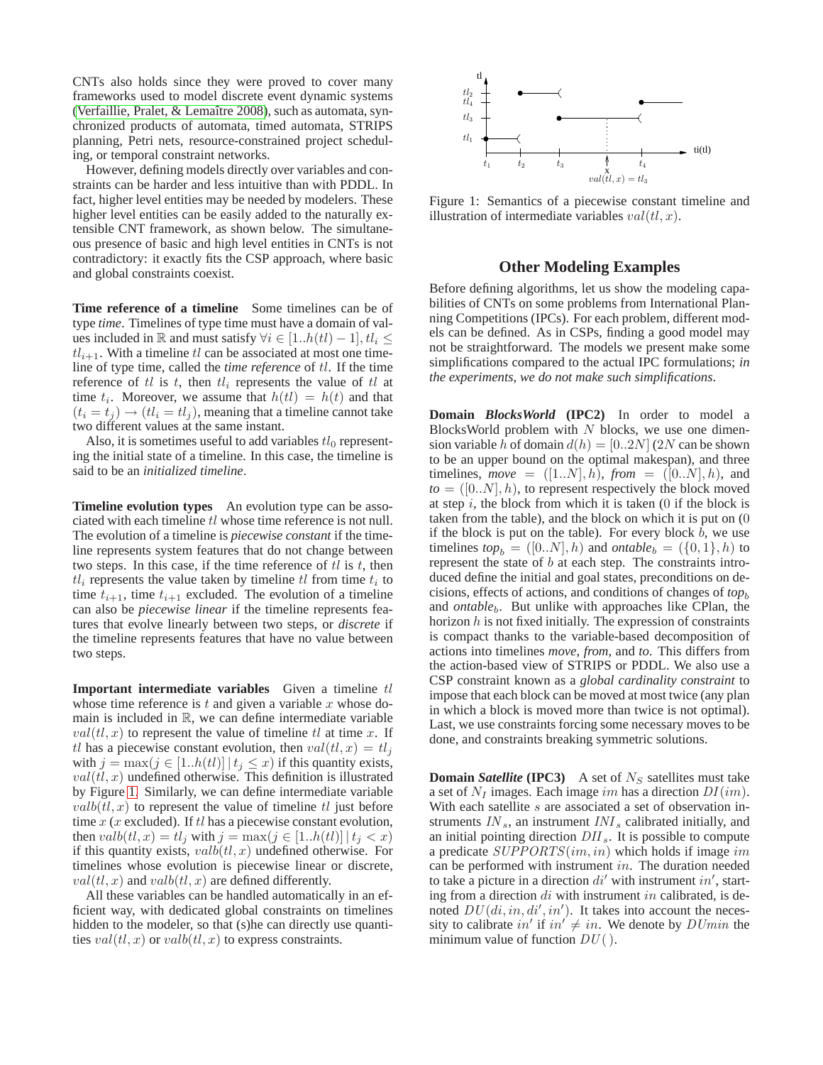CNTs also holds since they were proved to cover many frameworks used to model discrete event dynamic systems (Verfaillie, Pralet, & Lemaître 2008), such as automata, synchronized products of automata, timed automata, STRIPS planning, Petri nets, resource-constrained project scheduling, or temporal constraint networks.

However, defining models directly over variables and constraints can be harder and less intuitive than with PDDL. In fact, higher level entities may be needed by modelers. These higher level entities can be easily added to the naturally extensible CNT framework, as shown below. The simultaneous presence of basic and high level entities in CNTs is not contradictory: it exactly fits the CSP approach, where basic and global constraints coexist.

**Time reference of a timeline** Some timelines can be of type *time*. Timelines of type time must have a domain of values included in R and must satisfy  $\forall i \in [1..h(tl)-1], tl_i \leq$  $tl_{i+1}$ . With a timeline tl can be associated at most one timeline of type time, called the *time reference* of tl. If the time reference of tl is t, then  $tl_i$  represents the value of tl at time  $t_i$ . Moreover, we assume that  $h(t) = h(t)$  and that  $(t_i = t_j) \rightarrow (tl_i = tl_j)$ , meaning that a timeline cannot take two different values at the same instant.

Also, it is sometimes useful to add variables  $tl_0$  representing the initial state of a timeline. In this case, the timeline is said to be an *initialized timeline*.

**Timeline evolution types** An evolution type can be associated with each timeline tl whose time reference is not null. The evolution of a timeline is *piecewise constant* if the timeline represents system features that do not change between two steps. In this case, if the time reference of  $tl$  is  $t$ , then  $tl_i$  represents the value taken by timeline  $tl$  from time  $t_i$  to time  $t_{i+1}$ , time  $t_{i+1}$  excluded. The evolution of a timeline can also be *piecewise linear* if the timeline represents features that evolve linearly between two steps, or *discrete* if the timeline represents features that have no value between two steps.

**Important intermediate variables** Given a timeline tl whose time reference is  $t$  and given a variable  $x$  whose domain is included in  $\mathbb{R}$ , we can define intermediate variable  $val(t, x)$  to represent the value of timeline tl at time x. If tl has a piecewise constant evolution, then  $val(t, x) = tl_i$ with  $j = \max(j \in [1..h(t)]) | t_j \leq x)$  if this quantity exists,  $val(t, x)$  undefined otherwise. This definition is illustrated by Figure [1.](#page-3-0) Similarly, we can define intermediate variable  $valb(t, x)$  to represent the value of timeline tl just before time  $x$  ( $x$  excluded). If  $tl$  has a piecewise constant evolution, then  $valb(tl, x) = tl_j$  with  $j = \max(j \in [1..h(t)] | t_j < x)$ if this quantity exists,  $valb(t, x)$  undefined otherwise. For timelines whose evolution is piecewise linear or discrete,  $val(t, x)$  and  $valb(t, x)$  are defined differently.

All these variables can be handled automatically in an efficient way, with dedicated global constraints on timelines hidden to the modeler, so that (s)he can directly use quantities  $val(t, x)$  or  $valbt, x)$  to express constraints.



<span id="page-3-0"></span>Figure 1: Semantics of a piecewise constant timeline and illustration of intermediate variables  $val(t, x)$ .

### **Other Modeling Examples**

Before defining algorithms, let us show the modeling capabilities of CNTs on some problems from International Planning Competitions (IPCs). For each problem, different models can be defined. As in CSPs, finding a good model may not be straightforward. The models we present make some simplifications compared to the actual IPC formulations; *in the experiments, we do not make such simplifications*.

**Domain** *BlocksWorld* **(IPC2)** In order to model a BlocksWorld problem with  $N$  blocks, we use one dimension variable h of domain  $d(h) = [0..2N]$  (2N can be shown to be an upper bound on the optimal makespan), and three timelines, *move* =  $([1..N], h)$ , *from* =  $([0..N], h)$ , and  $to = ([0..N], h)$ , to represent respectively the block moved at step  $i$ , the block from which it is taken  $(0)$  if the block is taken from the table), and the block on which it is put on (0 if the block is put on the table). For every block  $b$ , we use timelines  $top_b = ([0..N], h)$  and *ontable*<sub>b</sub> =  $(\{0,1\}, h)$  to represent the state of b at each step. The constraints introduced define the initial and goal states, preconditions on decisions, effects of actions, and conditions of changes of  $top<sub>b</sub>$ and *ontable<sub>b</sub>*. But unlike with approaches like CPlan, the horizon  $h$  is not fixed initially. The expression of constraints is compact thanks to the variable-based decomposition of actions into timelines *move*, *from*, and *to*. This differs from the action-based view of STRIPS or PDDL. We also use a CSP constraint known as a *global cardinality constraint* to impose that each block can be moved at most twice (any plan in which a block is moved more than twice is not optimal). Last, we use constraints forcing some necessary moves to be done, and constraints breaking symmetric solutions.

**Domain** *Satellite* (**IPC3**) A set of  $N<sub>S</sub>$  satellites must take a set of  $N_I$  images. Each image im has a direction  $DI(im)$ . With each satellite s are associated a set of observation instruments  $IN_s$ , an instrument  $INI_s$  calibrated initially, and an initial pointing direction  $DII_s$ . It is possible to compute a predicate  $SUPPORTS(im, in)$  which holds if image im can be performed with instrument in. The duration needed to take a picture in a direction  $di'$  with instrument in', starting from a direction  $di$  with instrument in calibrated, is denoted  $DU(di, in, di', in')$ . It takes into account the necessity to calibrate in' if  $in' \neq in$ . We denote by  $D U min$  the minimum value of function  $DU($ ).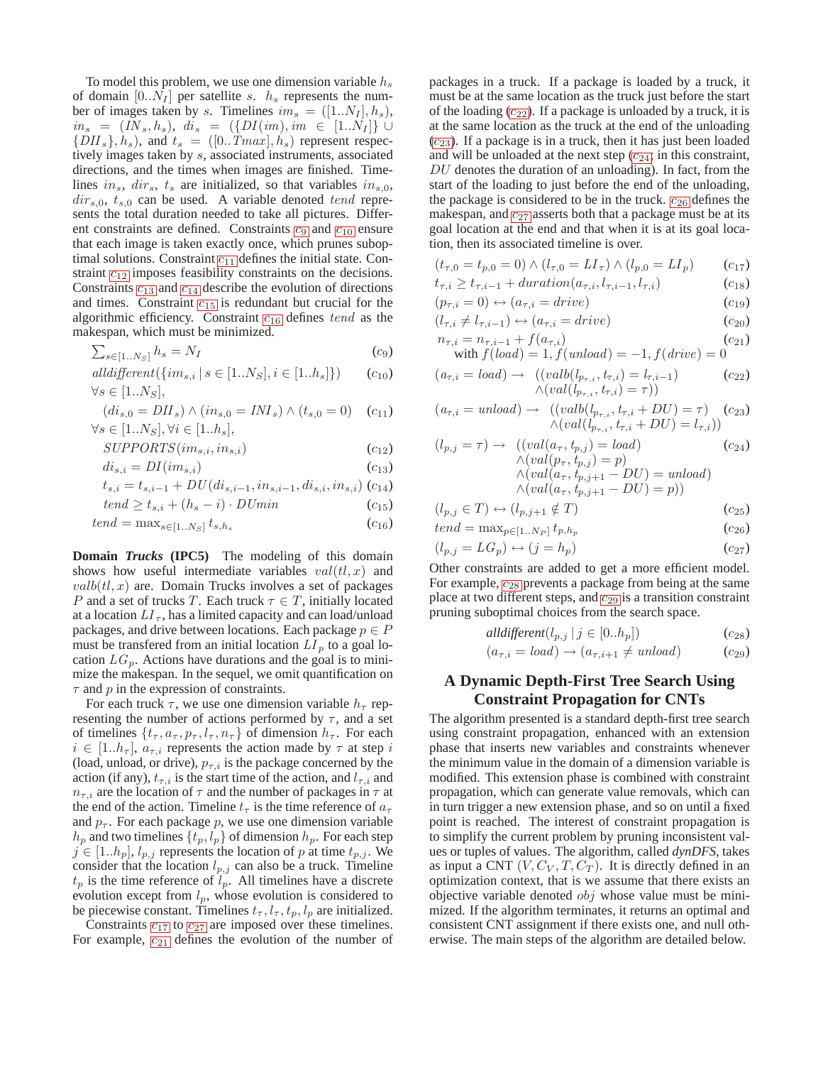To model this problem, we use one dimension variable  $h_s$ of domain  $[0..N_I]$  per satellite s.  $h_s$  represents the number of images taken by s. Timelines  $im_s = ([1..N_I], h_s)$ ,  $in_s = (IN_s, h_s), \, di_s = (\{DI(im), im \in [1..N_I]\} \cup$  $\{DII_s\}, \dot{h}_s$ ), and  $t_s = ([0..Tmax], \dot{h}_s)$  represent respectively images taken by s, associated instruments, associated directions, and the times when images are finished. Timelines in<sub>s</sub>, dir<sub>s</sub>,  $t_s$  are initialized, so that variables in<sub>s,0</sub>,  $dir<sub>s,0</sub>, t<sub>s,0</sub>$  can be used. A variable denoted tend represents the total duration needed to take all pictures. Different [c](#page-4-0)onstraints are defined. Constraints  $c_9$  and  $c_{10}$  $c_{10}$  $c_{10}$  ensure that each image is taken exactly once, which prunes suboptimal solutions. Constraint  $c_{11}$  $c_{11}$  $c_{11}$  defines the initial state. Constraint  $c_{12}$  $c_{12}$  $c_{12}$  imposes feasibility constraints on the decisions. Constraints  $c_{13}$  $c_{13}$  $c_{13}$  and  $c_{14}$  $c_{14}$  $c_{14}$  describe the evolution of directions and times. Constraint  $c_{15}$  $c_{15}$  $c_{15}$  is redundant but crucial for the algorithmic efficiency. Constraint  $c_{16}$  $c_{16}$  $c_{16}$  defines tend as the makespan, which must be minimized.

<span id="page-4-0"></span>
$$
\sum_{s \in [1..N_S]} h_s = N_I \tag{c_9}
$$

$$
all different({im_{s,i} | s \in [1..N_S], i \in [1..h_s]})
$$
  

$$
\forall s \in [1..N_S],
$$
 (c<sub>10</sub>)

$$
(di_{s,0} = DII_s) \land (in_{s,0} = INI_s) \land (t_{s,0} = 0) \quad (c_{11})
$$
  

$$
\forall s \in [1..N_S], \forall i \in [1..h_s],
$$

$$
SUPPORTS(im_{s,i}, in_{s,i})
$$
\n
$$
(c_{12})
$$

$$
di_{s,i} = DI(im_{s,i})
$$
\n<sup>(c<sub>13</sub>)</sup>

$$
t_{s,i} = t_{s,i-1} + DU(di_{s,i-1}, in_{s,i-1}, di_{s,i}, in_{s,i})
$$
  
(c<sub>14</sub>)  
 
$$
t_{end} > t_{t+1} + (h - i) \cdot DU_{min}
$$

$$
tend \geq t_{s,i} + (h_s - i) \cdot DUmn \tag{c_{15}}
$$

$$
tend = \max_{s \in [1..N_S]} t_{s,h_s} \tag{c_{16}}
$$

**Domain** *Trucks* **(IPC5)** The modeling of this domain shows how useful intermediate variables  $val(t, x)$  and  $valb(t, x)$  are. Domain Trucks involves a set of packages P and a set of trucks T. Each truck  $\tau \in T$ , initially located at a location  $LI_{\tau}$ , has a limited capacity and can load/unload packages, and drive between locations. Each package  $p \in P$ must be transferred from an initial location  $LI$ <sub>p</sub> to a goal location  $LG_p$ . Actions have durations and the goal is to minimize the makespan. In the sequel, we omit quantification on  $\tau$  and p in the expression of constraints.

For each truck  $\tau$ , we use one dimension variable  $h_{\tau}$  representing the number of actions performed by  $\tau$ , and a set of timelines  $\{t_{\tau}, a_{\tau}, p_{\tau}, l_{\tau}, n_{\tau}\}\$  of dimension  $h_{\tau}$ . For each  $i \in [1..h_{\tau}], a_{\tau,i}$  represents the action made by  $\tau$  at step i (load, unload, or drive),  $p_{\tau,i}$  is the package concerned by the action (if any),  $t_{\tau,i}$  is the start time of the action, and  $l_{\tau,i}$  and  $n_{\tau,i}$  are the location of  $\tau$  and the number of packages in  $\tau$  at the end of the action. Timeline  $t_{\tau}$  is the time reference of  $a_{\tau}$ and  $p_{\tau}$ . For each package p, we use one dimension variable  $h_p$  and two timelines  $\{t_p, l_p\}$  of dimension  $h_p$ . For each step  $j \in [1..h_p]$ ,  $l_{p,j}$  represents the location of p at time  $t_{p,j}$ . We consider that the location  $l_{p,j}$  can also be a truck. Timeline  $t_p$  is the time reference of  $\tilde{l}_p$ . All timelines have a discrete evolution except from  $l_p$ , whose evolution is considered to be piecewise constant. Timelines  $t_{\tau}$ ,  $l_{\tau}$ ,  $t_{p}$ ,  $l_{p}$  are initialized.

Constraints  $c_{17}$  $c_{17}$  $c_{17}$  to  $c_{27}$  $c_{27}$  $c_{27}$  are imposed over these timelines. For example,  $c_{21}$  $c_{21}$  $c_{21}$  defines the evolution of the number of packages in a truck. If a package is loaded by a truck, it must be at the same location as the truck just before the start of the loading  $(c_{22})$  $(c_{22})$  $(c_{22})$ . If a package is unloaded by a truck, it is at the same location as the truck at the end of the unloading  $(c_{23})$  $(c_{23})$  $(c_{23})$ . If a package is in a truck, then it has just been loaded and will be unloaded at the next step  $(c_{24};$  $(c_{24};$  $(c_{24};$  in this constraint,  $DU$  denotes the duration of an unloading). In fact, from the start of the loading to just before the end of the unloading, the package is considered to be in the truck.  $c_{26}$  $c_{26}$  $c_{26}$  defines the makespan, and  $c_{27}$  $c_{27}$  $c_{27}$  asserts both that a package must be at its goal location at the end and that when it is at its goal location, then its associated timeline is over.

<span id="page-4-1"></span>
$$
(t_{\tau,0} = t_{p,0} = 0) \wedge (l_{\tau,0} = LI_{\tau}) \wedge (l_{p,0} = LI_p) \qquad (c_{17})
$$
  

$$
t \rightarrow t_{\tau,0} + duration(a_{\tau,1} + l_{\tau,1})
$$
 (c\_{19})

$$
\iota_{\tau,i} \leq \iota_{\tau,i-1} + \operatorname{aut} \operatorname{aut} \operatorname{out} \left( \iota_{\tau,i}, \iota_{\tau,i-1}, \iota_{\tau,i} \right) \tag{c.18}
$$

$$
(p_{\tau,i} = 0) \leftrightarrow (a_{\tau,i} = drive)
$$
\n
$$
(c_{19})
$$

$$
(l_{\tau,i} \neq l_{\tau,i-1}) \leftrightarrow (a_{\tau,i} = drive)
$$
\n
$$
n_{\tau,i} = n_{\tau,i-1} + f(a_{\tau,i})
$$
\n
$$
(c_{20})
$$
\n
$$
(c_{21})
$$

with 
$$
f(load) = 1, f(unload) = -1, f(drive) = 0
$$

$$
(a_{\tau,i} = load) \rightarrow ((valb(l_{p_{\tau,i}}, t_{\tau,i}) = l_{\tau,i-1})
$$
  
 
$$
\wedge (val(l_{p_{\tau,i}}, t_{\tau,i}) = \tau))
$$
 (c<sub>22</sub>)

$$
(a_{\tau,i} = unload) \rightarrow ((valb(l_{p_{\tau,i}}, t_{\tau,i} + DU) = \tau) (c_{23})
$$

$$
\land (val(l_{p_{\tau,i}}, t_{\tau,i} + DU) = l_{\tau,i}))
$$

$$
(l_{p,j} = \tau) \rightarrow ((val(a_{\tau}, t_{p,j}) = load)
$$
  
\n
$$
\land (val(p_{\tau}, t_{p,j}) = p)
$$
  
\n
$$
\land (val(a_{\tau}, t_{p,j+1} - DU) = unload)
$$
  
\n
$$
\land (val(a_{\tau}, t_{p,j+1} - DU) = p))
$$
  
\n(24)

$$
(l_{p,j} \in T) \leftrightarrow (l_{p,j+1} \notin T) \tag{c_{25}}
$$

$$
tend = \max_{p \in [1..N_P]} t_{p,h_p} \tag{c_{26}}
$$

$$
(l_{p,j} = LG_p) \leftrightarrow (j = h_p) \tag{c_{27}}
$$

Other constraints are added to get a more efficient model. For example,  $c_{28}$  $c_{28}$  $c_{28}$  prevents a package from being at the same place at two different steps, and  $c_{29}$  $c_{29}$  $c_{29}$  is a transition constraint pruning suboptimal choices from the search space.

$$
all different(l_{p,j} \mid j \in [0..h_p]) \tag{c_{28}}
$$

$$
(a_{\tau,i} = load) \rightarrow (a_{\tau,i+1} \neq unload) \qquad (c_{29})
$$

# <span id="page-4-2"></span>**A Dynamic Depth-First Tree Search Using Constraint Propagation for CNTs**

The algorithm presented is a standard depth-first tree search using constraint propagation, enhanced with an extension phase that inserts new variables and constraints whenever the minimum value in the domain of a dimension variable is modified. This extension phase is combined with constraint propagation, which can generate value removals, which can in turn trigger a new extension phase, and so on until a fixed point is reached. The interest of constraint propagation is to simplify the current problem by pruning inconsistent values or tuples of values. The algorithm, called *dynDFS*, takes as input a CNT  $(V, C_V, T, C_T)$ . It is directly defined in an optimization context, that is we assume that there exists an objective variable denoted  $obj$  whose value must be minimized. If the algorithm terminates, it returns an optimal and consistent CNT assignment if there exists one, and null otherwise. The main steps of the algorithm are detailed below.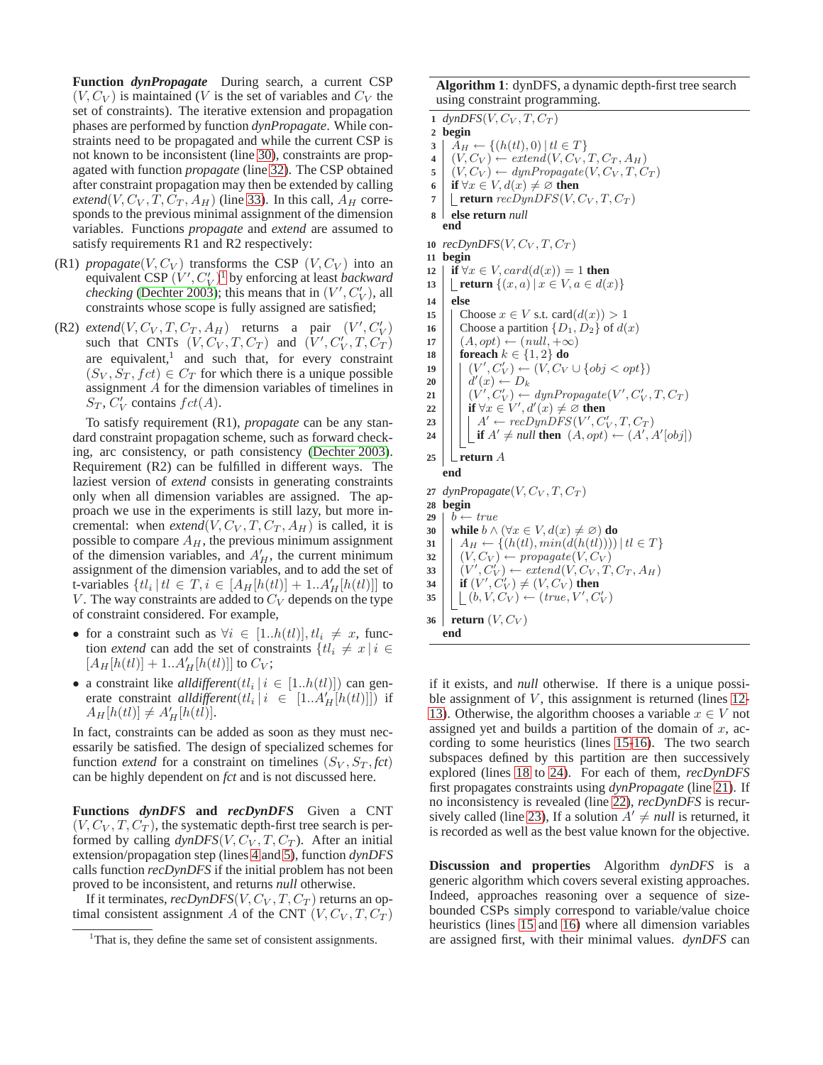**Function** *dynPropagate* During search, a current CSP  $(V, C_V)$  is maintained (V is the set of variables and  $C_V$  the set of constraints). The iterative extension and propagation phases are performed by function *dynPropagate*. While constraints need to be propagated and while the current CSP is not known to be inconsistent (line 30), constraints are propagated with function *propagate* (line 32). The CSP obtained after constraint propagation may then be extended by calling *extend*(V,  $C_V$ ,  $T$ ,  $C_T$ ,  $A_H$ ) (line 33). In this call,  $A_H$  corresponds to the previous minimal assignment of the dimension variables. Functions *propagate* and *extend* are assumed to satisfy requirements R1 and R2 respectively:

- (R1) *propagate*( $V, C_V$ ) transforms the CSP ( $V, C_V$ ) into an equivalent CSP  $(V', C'_V)^1$  $(V', C'_V)^1$  by enforcing at least *backward checking* [\(Dechter 2003\)](#page-7-4); this means that in  $(V', C'_V)$ , all constraints whose scope is fully assigned are satisfied;
- (R2) *extend*( $V, C_V, T, C_T, A_H$ ) returns a pair  $(V', C'_V)$ such that CNTs  $(V, C_V, T, C_T)$  and  $(V', C_V', T, C_T)$ are equivalent, $<sup>1</sup>$  and such that, for every constraint</sup>  $(S_V, S_T, fct) \in C_T$  for which there is a unique possible assignment A for the dimension variables of timelines in  $S_T$ ,  $C_V'$  contains  $fct(A)$ .

To satisfy requirement (R1), *propagate* can be any standard constraint propagation scheme, such as forward checking, arc consistency, or path consistency [\(Dechter 2003\)](#page-7-4). Requirement (R2) can be fulfilled in different ways. The laziest version of *extend* consists in generating constraints only when all dimension variables are assigned. The approach we use in the experiments is still lazy, but more incremental: when *extend*( $V, C_V, T, C_T, A_H$ ) is called, it is possible to compare  $A_H$ , the previous minimum assignment of the dimension variables, and  $A'_H$ , the current minimum assignment of the dimension variables, and to add the set of t-variables  $\{tl_i \mid tl \in T, i \in [A_H[h(t\ell)] + 1..A'_H[h(t\ell)]]$  to V. The way constraints are added to  $C_V$  depends on the type of constraint considered. For example,

- for a constraint such as  $\forall i \in [1..h(t)], t l_i \neq x$ , function *extend* can add the set of constraints  $\{tl_i \neq x | i \in$  $[A_H[h(tt)] + 1..A'_H[h(tt)]]$  to  $C_V$ ;
- a constraint like *all different*  $(t_i | i \in [1..h(t)])$  can generate constraint *all different*  $(t_l | i \in [1..A'_H[h(t)]])$  if  $A_H[h(t)] \neq A'_H[h(t)].$

In fact, constraints can be added as soon as they must necessarily be satisfied. The design of specialized schemes for function *extend* for a constraint on timelines  $(S_V, S_T, \text{fct})$ can be highly dependent on *fct* and is not discussed here.

**Functions** *dynDFS* **and** *recDynDFS* Given a CNT  $(V, C_V, T, C_T)$ , the systematic depth-first tree search is performed by calling  $dynDFS(V, C_V, T, C_T)$ . After an initial extension/propagation step (lines 4 and 5), function *dynDFS* calls function *recDynDFS* if the initial problem has not been proved to be inconsistent, and returns *null* otherwise.

If it terminates,  $recDynDFS(V, C_V, T, C_T)$  returns an optimal consistent assignment A of the CNT  $(V, C_V, T, C_T)$  **Algorithm 1**: dynDFS, a dynamic depth-first tree search using constraint programming.

```
1 dynDFS(V, C_V, T, C_T)2 begin
 3 A_H \leftarrow \{(h(t), 0) | t l \in T\}4 | (V, C_V) \leftarrow extend(V, C_V, T, C_T, A_H)5 (V, C_V) \leftarrow dynPropagate(V, C_V, T, C_T)6 if \forall x \in V, d(x) \neq \emptyset then
 7 L return recDynDFS(V, C_V, T, C_T)8 else return null
    end
10 recDynDFS(V, C_V, T, C_T)11 begin
12 | if ∀x ∈ V, card(d(x)) = 1 then
13 return \{(x, a) | x \in V, a \in d(x)\}\14 else
15 | Choose x \in V s.t. card(d(x)) > 116 Choose a partition \{D_1, D_2\} of d(x)17 \left| \begin{array}{c} (A, opt) \leftarrow (null, +\infty) \\ \textbf{foreach } k \in \{1, 2\} \textbf{ do} \end{array} \right|foreach k \in \{1, 2\} do
19 | (V', C'_V) \leftarrow (V, C_V \cup \{obj < opt\})\mathbf{20} \begin{array}{|c|c|c|c|c|c|c|c|c|c|c|c} \hline \end{array}\mathbf{21} \mid \mid (V', C_V') \leftarrow \text{dynPropagate}(V', C_V', T, C_T)22 if \forall x \in V', d'(x) \neq \emptyset then
\mathbf{23} \mid \mid \mid A' \leftarrow \text{recDynDFS}(V', C'_V, T, C_T)24 i if A' \neq null then (A, opt) \leftarrow (A', A'[obj])25 return A
    end
27 dynPropagate(V, C_V, T, C_T)
28 begin
29 | b \leftarrow true30 while b \wedge (\forall x \in V, d(x) \neq \emptyset) do
31 \mid A_H \leftarrow \{(h(t), min(d(h(t)))) \mid t \in T\}32 (V, C_V) \leftarrow propagate(V, C_V)33 (V', C'_V) \leftarrow extend(V, C_V, T, C_T, A_H)34 if (V', C'_V) \neq (V, C_V) then
35 \vert \vert \vert (b, V, C_V) \leftarrow (true, V', C_V')36 return (V, C_V)end
```
if it exists, and *null* otherwise. If there is a unique possible assignment of  $V$ , this assignment is returned (lines 12-13). Otherwise, the algorithm chooses a variable  $x \in V$  not assigned yet and builds a partition of the domain of  $x$ , according to some heuristics (lines 15-16). The two search subspaces defined by this partition are then successively explored (lines 18 to 24). For each of them, *recDynDFS* first propagates constraints using *dynPropagate* (line 21). If no inconsistency is revealed (line 22), *recDynDFS* is recursively called (line 23), If a solution  $A' \neq null$  is returned, it is recorded as well as the best value known for the objective.

**Discussion and properties** Algorithm *dynDFS* is a generic algorithm which covers several existing approaches. Indeed, approaches reasoning over a sequence of sizebounded CSPs simply correspond to variable/value choice heuristics (lines 15 and 16) where all dimension variables are assigned first, with their minimal values. *dynDFS* can

<span id="page-5-0"></span><sup>&</sup>lt;sup>1</sup>That is, they define the same set of consistent assignments.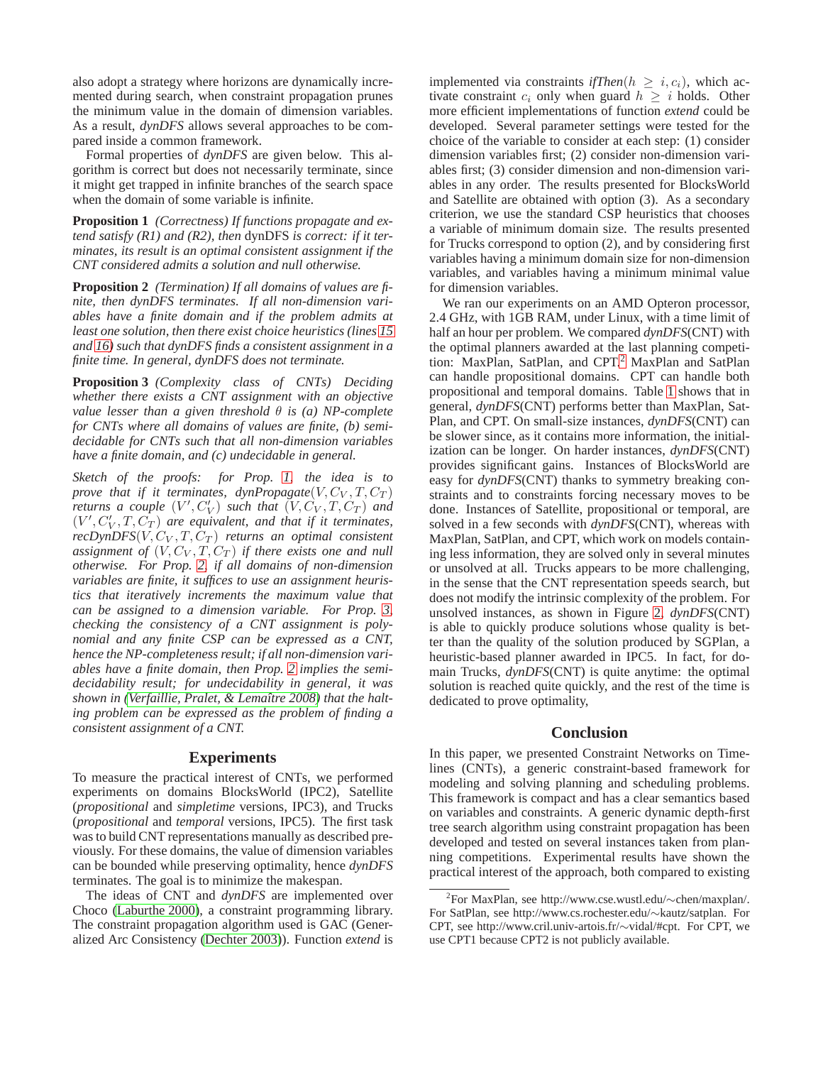also adopt a strategy where horizons are dynamically incremented during search, when constraint propagation prunes the minimum value in the domain of dimension variables. As a result, *dynDFS* allows several approaches to be compared inside a common framework.

Formal properties of *dynDFS* are given below. This algorithm is correct but does not necessarily terminate, since it might get trapped in infinite branches of the search space when the domain of some variable is infinite.

<span id="page-6-0"></span>**Proposition 1** *(Correctness) If functions propagate and extend satisfy (R1) and (R2), then* dynDFS *is correct: if it terminates, its result is an optimal consistent assignment if the CNT considered admits a solution and null otherwise.*

<span id="page-6-1"></span>**Proposition 2** *(Termination) If all domains of values are finite, then dynDFS terminates. If all non-dimension variables have a finite domain and if the problem admits at least one solution, then there exist choice heuristics (lines 15 and 16) such that dynDFS finds a consistent assignment in a finite time. In general, dynDFS does not terminate.*

<span id="page-6-2"></span>**Proposition 3** *(Complexity class of CNTs) Deciding whether there exists a CNT assignment with an objective value lesser than a given threshold* θ *is (a) NP-complete for CNTs where all domains of values are finite, (b) semidecidable for CNTs such that all non-dimension variables have a finite domain, and (c) undecidable in general.*

*Sketch of the proofs: for Prop. [1,](#page-6-0) the idea is to prove that if it terminates, dynPropagate* $(V, C_V, T, C_T)$ *returns a couple*  $(V', C'_V)$  *such that*  $(V, C_V, T, C_T)$  *and*  $(V', C'_V, T, C_T)$  are equivalent, and that if it terminates,  $recDynDFS(V, C_V, T, C_T)$  *returns an optimal consistent assignment of*  $(V, C_V, T, C_T)$  *if there exists one and null otherwise. For Prop. [2,](#page-6-1) if all domains of non-dimension variables are finite, it suffices to use an assignment heuristics that iteratively increments the maximum value that can be assigned to a dimension variable. For Prop. [3,](#page-6-2) checking the consistency of a CNT assignment is polynomial and any finite CSP can be expressed as a CNT, hence the NP-completeness result; if all non-dimension variables have a finite domain, then Prop. [2](#page-6-1) implies the semidecidability result; for undecidability in general, it was shown in [\(Verfaillie, Pralet, & Lemaˆıtre 2008\)](#page-7-12) that the halting problem can be expressed as the problem of finding a consistent assignment of a CNT.*

### **Experiments**

To measure the practical interest of CNTs, we performed experiments on domains BlocksWorld (IPC2), Satellite (*propositional* and *simpletime* versions, IPC3), and Trucks (*propositional* and *temporal* versions, IPC5). The first task was to build CNT representations manually as described previously. For these domains, the value of dimension variables can be bounded while preserving optimality, hence *dynDFS* terminates. The goal is to minimize the makespan.

The ideas of CNT and *dynDFS* are implemented over Choco [\(Laburthe 2000\)](#page-7-14), a constraint programming library. The constraint propagation algorithm used is GAC (Generalized Arc Consistency [\(Dechter 2003\)](#page-7-4)). Function *extend* is implemented via constraints *ifThen*( $h \geq i, c_i$ ), which activate constraint  $c_i$  only when guard  $h \geq i$  holds. Other more efficient implementations of function *extend* could be developed. Several parameter settings were tested for the choice of the variable to consider at each step: (1) consider dimension variables first; (2) consider non-dimension variables first; (3) consider dimension and non-dimension variables in any order. The results presented for BlocksWorld and Satellite are obtained with option (3). As a secondary criterion, we use the standard CSP heuristics that chooses a variable of minimum domain size. The results presented for Trucks correspond to option (2), and by considering first variables having a minimum domain size for non-dimension variables, and variables having a minimum minimal value for dimension variables.

We ran our experiments on an AMD Opteron processor, 2.4 GHz, with 1GB RAM, under Linux, with a time limit of half an hour per problem. We compared *dynDFS*(CNT) with the optimal planners awarded at the last planning competition: MaxPlan, SatPlan, and CPT.[2](#page-6-3) MaxPlan and SatPlan can handle propositional domains. CPT can handle both propositional and temporal domains. Table [1](#page-7-15) shows that in general, *dynDFS*(CNT) performs better than MaxPlan, Sat-Plan, and CPT. On small-size instances, *dynDFS*(CNT) can be slower since, as it contains more information, the initialization can be longer. On harder instances, *dynDFS*(CNT) provides significant gains. Instances of BlocksWorld are easy for *dynDFS*(CNT) thanks to symmetry breaking constraints and to constraints forcing necessary moves to be done. Instances of Satellite, propositional or temporal, are solved in a few seconds with *dynDFS*(CNT), whereas with MaxPlan, SatPlan, and CPT, which work on models containing less information, they are solved only in several minutes or unsolved at all. Trucks appears to be more challenging, in the sense that the CNT representation speeds search, but does not modify the intrinsic complexity of the problem. For unsolved instances, as shown in Figure [2,](#page-7-16) *dynDFS*(CNT) is able to quickly produce solutions whose quality is better than the quality of the solution produced by SGPlan, a heuristic-based planner awarded in IPC5. In fact, for domain Trucks, *dynDFS*(CNT) is quite anytime: the optimal solution is reached quite quickly, and the rest of the time is dedicated to prove optimality,

#### **Conclusion**

In this paper, we presented Constraint Networks on Timelines (CNTs), a generic constraint-based framework for modeling and solving planning and scheduling problems. This framework is compact and has a clear semantics based on variables and constraints. A generic dynamic depth-first tree search algorithm using constraint propagation has been developed and tested on several instances taken from planning competitions. Experimental results have shown the practical interest of the approach, both compared to existing

<span id="page-6-3"></span><sup>2</sup> For MaxPlan, see http://www.cse.wustl.edu/∼chen/maxplan/. For SatPlan, see http://www.cs.rochester.edu/∼kautz/satplan. For CPT, see http://www.cril.univ-artois.fr/∼vidal/#cpt. For CPT, we use CPT1 because CPT2 is not publicly available.